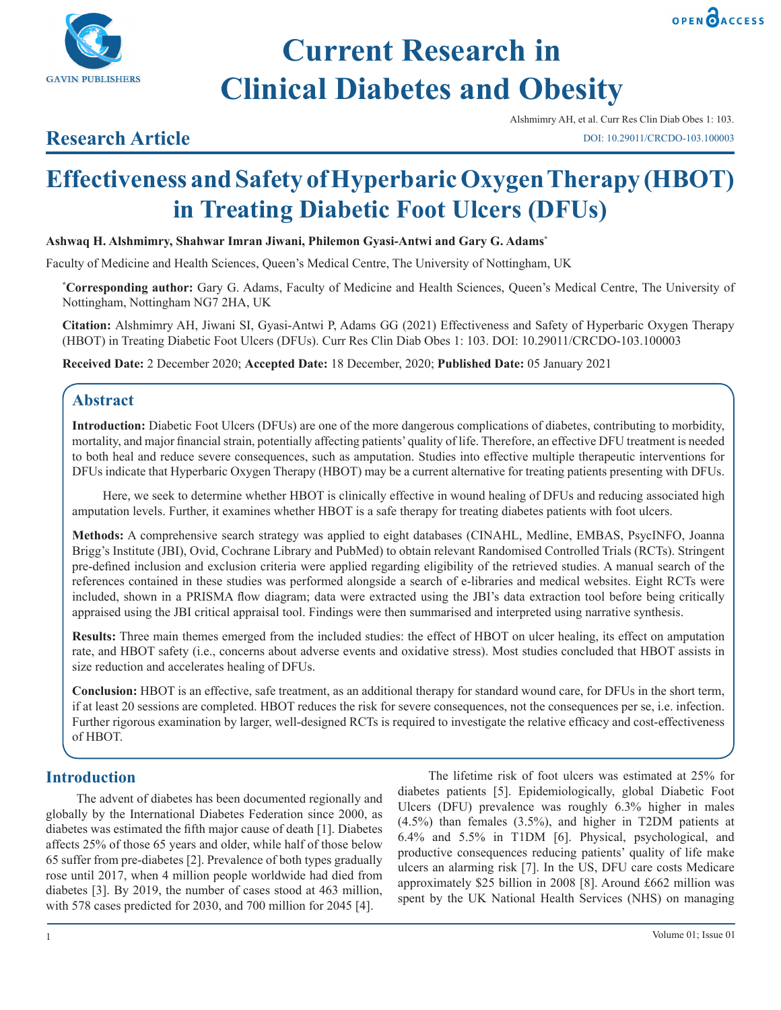



# **Research Article**

OPEN OACCESS

# **Effectiveness and Safety of Hyperbaric Oxygen Therapy (HBOT) in Treating Diabetic Foot Ulcers (DFUs)**

**Ashwaq H. Alshmimry, Shahwar Imran Jiwani, Philemon Gyasi-Antwi and Gary G. Adams\***

Faculty of Medicine and Health Sciences, Queen's Medical Centre, The University of Nottingham, UK

**\* Corresponding author:** Gary G. Adams, Faculty of Medicine and Health Sciences, Queen's Medical Centre, The University of Nottingham, Nottingham NG7 2HA, UK

**Citation:** Alshmimry AH, Jiwani SI, Gyasi-Antwi P, Adams GG (2021) Effectiveness and Safety of Hyperbaric Oxygen Therapy (HBOT) in Treating Diabetic Foot Ulcers (DFUs). Curr Res Clin Diab Obes 1: 103. DOI: 10.29011/CRCDO-103.100003

**Received Date:** 2 December 2020; **Accepted Date:** 18 December, 2020; **Published Date:** 05 January 2021

# **Abstract**

**Introduction:** Diabetic Foot Ulcers (DFUs) are one of the more dangerous complications of diabetes, contributing to morbidity, mortality, and major financial strain, potentially affecting patients' quality of life. Therefore, an effective DFU treatment is needed to both heal and reduce severe consequences, such as amputation. Studies into effective multiple therapeutic interventions for DFUs indicate that Hyperbaric Oxygen Therapy (HBOT) may be a current alternative for treating patients presenting with DFUs.

Here, we seek to determine whether HBOT is clinically effective in wound healing of DFUs and reducing associated high amputation levels. Further, it examines whether HBOT is a safe therapy for treating diabetes patients with foot ulcers.

**Methods:** A comprehensive search strategy was applied to eight databases (CINAHL, Medline, EMBAS, PsycINFO, Joanna Brigg's Institute (JBI), Ovid, Cochrane Library and PubMed) to obtain relevant Randomised Controlled Trials (RCTs). Stringent pre-defined inclusion and exclusion criteria were applied regarding eligibility of the retrieved studies. A manual search of the references contained in these studies was performed alongside a search of e-libraries and medical websites. Eight RCTs were included, shown in a PRISMA flow diagram; data were extracted using the JBI's data extraction tool before being critically appraised using the JBI critical appraisal tool. Findings were then summarised and interpreted using narrative synthesis.

**Results:** Three main themes emerged from the included studies: the effect of HBOT on ulcer healing, its effect on amputation rate, and HBOT safety (i.e., concerns about adverse events and oxidative stress). Most studies concluded that HBOT assists in size reduction and accelerates healing of DFUs.

**Conclusion:** HBOT is an effective, safe treatment, as an additional therapy for standard wound care, for DFUs in the short term, if at least 20 sessions are completed. HBOT reduces the risk for severe consequences, not the consequences per se, i.e. infection. Further rigorous examination by larger, well-designed RCTs is required to investigate the relative efficacy and cost-effectiveness of HBOT.

# **Introduction**

The advent of diabetes has been documented regionally and globally by the International Diabetes Federation since 2000, as diabetes was estimated the fifth major cause of death [1]. Diabetes affects 25% of those 65 years and older, while half of those below 65 suffer from pre-diabetes [2]. Prevalence of both types gradually rose until 2017, when 4 million people worldwide had died from diabetes [3]. By 2019, the number of cases stood at 463 million, with 578 cases predicted for 2030, and 700 million for 2045 [4].

The lifetime risk of foot ulcers was estimated at 25% for diabetes patients [5]. Epidemiologically, global Diabetic Foot Ulcers (DFU) prevalence was roughly 6.3% higher in males (4.5%) than females (3.5%), and higher in T2DM patients at 6.4% and 5.5% in T1DM [6]. Physical, psychological, and productive consequences reducing patients' quality of life make ulcers an alarming risk [7]. In the US, DFU care costs Medicare approximately \$25 billion in 2008 [8]. Around £662 million was spent by the UK National Health Services (NHS) on managing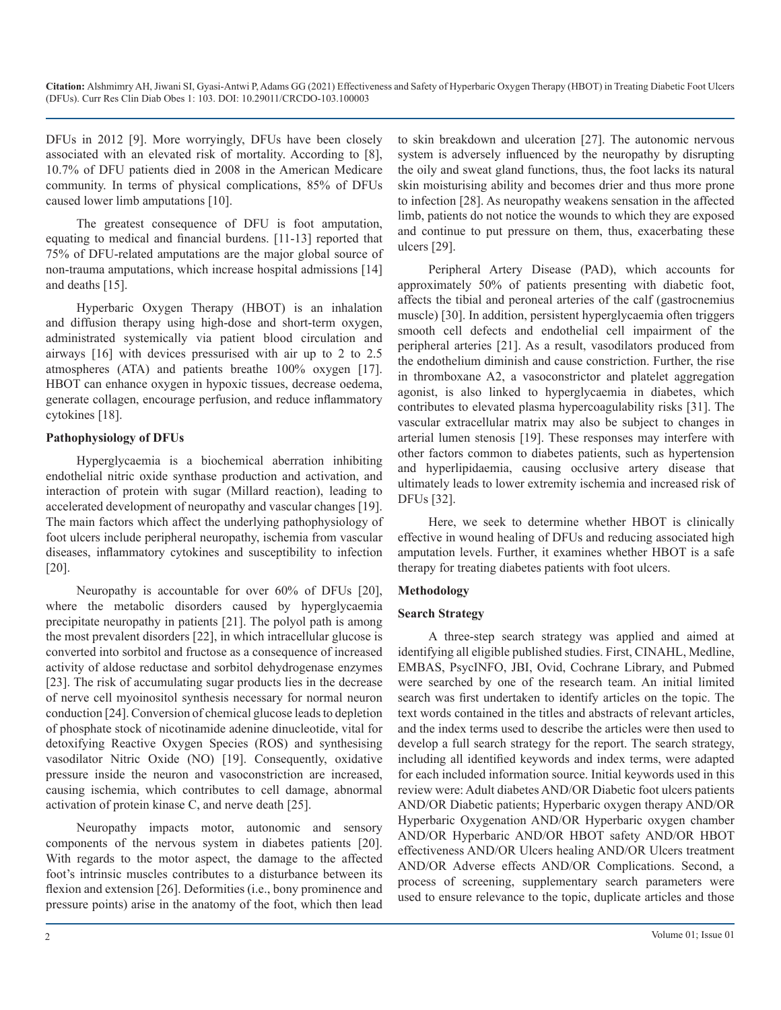DFUs in 2012 [9]. More worryingly, DFUs have been closely associated with an elevated risk of mortality. According to [8], 10.7% of DFU patients died in 2008 in the American Medicare community. In terms of physical complications, 85% of DFUs caused lower limb amputations [10].

The greatest consequence of DFU is foot amputation, equating to medical and financial burdens. [11-13] reported that 75% of DFU-related amputations are the major global source of non-trauma amputations, which increase hospital admissions [14] and deaths [15].

Hyperbaric Oxygen Therapy (HBOT) is an inhalation and diffusion therapy using high-dose and short-term oxygen, administrated systemically via patient blood circulation and airways [16] with devices pressurised with air up to 2 to 2.5 atmospheres (ATA) and patients breathe 100% oxygen [17]. HBOT can enhance oxygen in hypoxic tissues, decrease oedema, generate collagen, encourage perfusion, and reduce inflammatory cytokines [18].

#### **Pathophysiology of DFUs**

Hyperglycaemia is a biochemical aberration inhibiting endothelial nitric oxide synthase production and activation, and interaction of protein with sugar (Millard reaction), leading to accelerated development of neuropathy and vascular changes [19]. The main factors which affect the underlying pathophysiology of foot ulcers include peripheral neuropathy, ischemia from vascular diseases, inflammatory cytokines and susceptibility to infection [20].

Neuropathy is accountable for over 60% of DFUs [20], where the metabolic disorders caused by hyperglycaemia precipitate neuropathy in patients [21]. The polyol path is among the most prevalent disorders [22], in which intracellular glucose is converted into sorbitol and fructose as a consequence of increased activity of aldose reductase and sorbitol dehydrogenase enzymes [23]. The risk of accumulating sugar products lies in the decrease of nerve cell myoinositol synthesis necessary for normal neuron conduction [24]. Conversion of chemical glucose leads to depletion of phosphate stock of nicotinamide adenine dinucleotide, vital for detoxifying Reactive Oxygen Species (ROS) and synthesising vasodilator Nitric Oxide (NO) [19]. Consequently, oxidative pressure inside the neuron and vasoconstriction are increased, causing ischemia, which contributes to cell damage, abnormal activation of protein kinase C, and nerve death [25].

Neuropathy impacts motor, autonomic and sensory components of the nervous system in diabetes patients [20]. With regards to the motor aspect, the damage to the affected foot's intrinsic muscles contributes to a disturbance between its flexion and extension [26]. Deformities (i.e., bony prominence and pressure points) arise in the anatomy of the foot, which then lead

to skin breakdown and ulceration [27]. The autonomic nervous system is adversely influenced by the neuropathy by disrupting the oily and sweat gland functions, thus, the foot lacks its natural skin moisturising ability and becomes drier and thus more prone to infection [28]. As neuropathy weakens sensation in the affected limb, patients do not notice the wounds to which they are exposed and continue to put pressure on them, thus, exacerbating these ulcers [29].

Peripheral Artery Disease (PAD), which accounts for approximately 50% of patients presenting with diabetic foot, affects the tibial and peroneal arteries of the calf (gastrocnemius muscle) [30]. In addition, persistent hyperglycaemia often triggers smooth cell defects and endothelial cell impairment of the peripheral arteries [21]. As a result, vasodilators produced from the endothelium diminish and cause constriction. Further, the rise in thromboxane A2, a vasoconstrictor and platelet aggregation agonist, is also linked to hyperglycaemia in diabetes, which contributes to elevated plasma hypercoagulability risks [31]. The vascular extracellular matrix may also be subject to changes in arterial lumen stenosis [19]. These responses may interfere with other factors common to diabetes patients, such as hypertension and hyperlipidaemia, causing occlusive artery disease that ultimately leads to lower extremity ischemia and increased risk of DFUs [32].

Here, we seek to determine whether HBOT is clinically effective in wound healing of DFUs and reducing associated high amputation levels. Further, it examines whether HBOT is a safe therapy for treating diabetes patients with foot ulcers.

## **Methodology**

#### **Search Strategy**

A three-step search strategy was applied and aimed at identifying all eligible published studies. First, CINAHL, Medline, EMBAS, PsycINFO, JBI, Ovid, Cochrane Library, and Pubmed were searched by one of the research team. An initial limited search was first undertaken to identify articles on the topic. The text words contained in the titles and abstracts of relevant articles, and the index terms used to describe the articles were then used to develop a full search strategy for the report. The search strategy, including all identified keywords and index terms, were adapted for each included information source. Initial keywords used in this review were: Adult diabetes AND/OR Diabetic foot ulcers patients AND/OR Diabetic patients; Hyperbaric oxygen therapy AND/OR Hyperbaric Oxygenation AND/OR Hyperbaric oxygen chamber AND/OR Hyperbaric AND/OR HBOT safety AND/OR HBOT effectiveness AND/OR Ulcers healing AND/OR Ulcers treatment AND/OR Adverse effects AND/OR Complications. Second, a process of screening, supplementary search parameters were used to ensure relevance to the topic, duplicate articles and those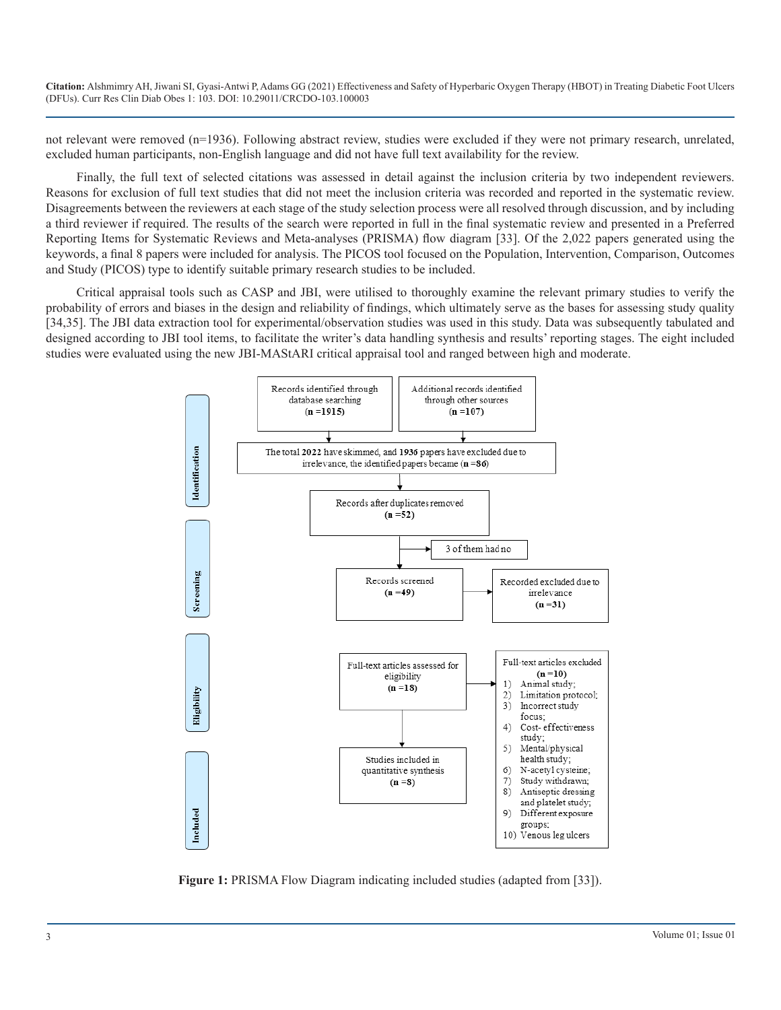not relevant were removed (n=1936). Following abstract review, studies were excluded if they were not primary research, unrelated, excluded human participants, non-English language and did not have full text availability for the review.

Finally, the full text of selected citations was assessed in detail against the inclusion criteria by two independent reviewers. Reasons for exclusion of full text studies that did not meet the inclusion criteria was recorded and reported in the systematic review. Disagreements between the reviewers at each stage of the study selection process were all resolved through discussion, and by including a third reviewer if required. The results of the search were reported in full in the final systematic review and presented in a Preferred Reporting Items for Systematic Reviews and Meta-analyses (PRISMA) flow diagram [33]. Of the 2,022 papers generated using the keywords, a final 8 papers were included for analysis. The PICOS tool focused on the Population, Intervention, Comparison, Outcomes and Study (PICOS) type to identify suitable primary research studies to be included.

Critical appraisal tools such as CASP and JBI, were utilised to thoroughly examine the relevant primary studies to verify the probability of errors and biases in the design and reliability of findings, which ultimately serve as the bases for assessing study quality [34,35]. The JBI data extraction tool for experimental/observation studies was used in this study. Data was subsequently tabulated and designed according to JBI tool items, to facilitate the writer's data handling synthesis and results' reporting stages. The eight included studies were evaluated using the new JBI-MAStARI critical appraisal tool and ranged between high and moderate.



Figure 1: PRISMA Flow Diagram indicating included studies (adapted from [33]).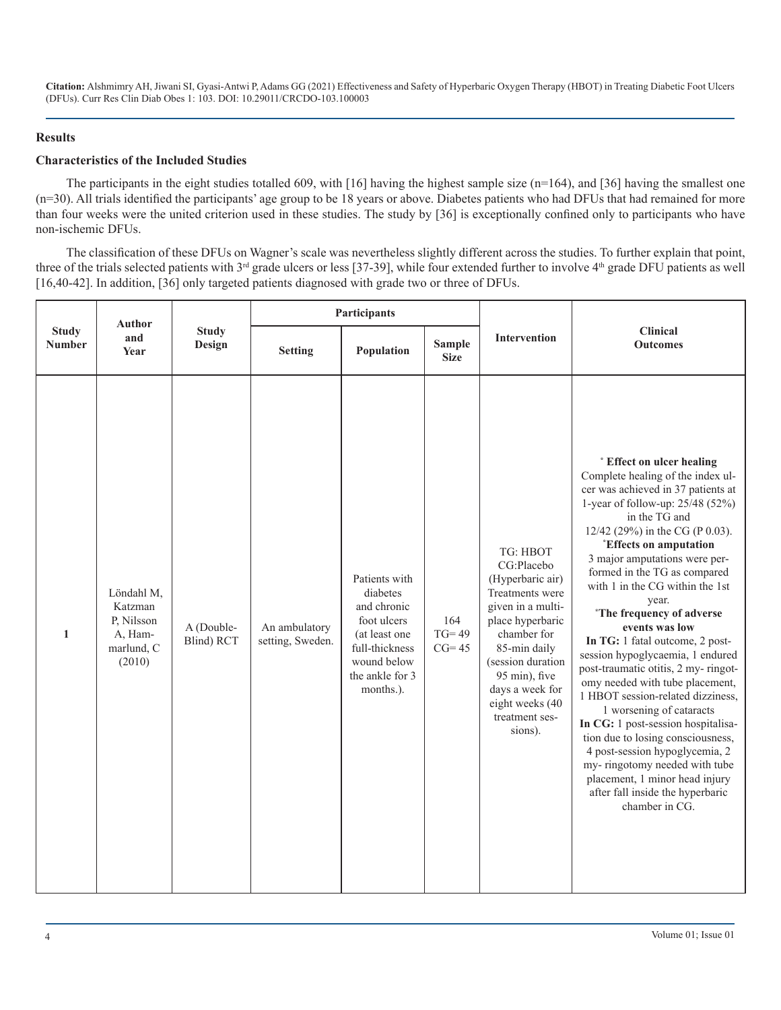#### **Results**

#### **Characteristics of the Included Studies**

The participants in the eight studies totalled 609, with [16] having the highest sample size  $(n=164)$ , and [36] having the smallest one (n=30). All trials identified the participants' age group to be 18 years or above. Diabetes patients who had DFUs that had remained for more than four weeks were the united criterion used in these studies. The study by [36] is exceptionally confined only to participants who have non-ischemic DFUs.

The classification of these DFUs on Wagner's scale was nevertheless slightly different across the studies. To further explain that point, three of the trials selected patients with 3<sup>rd</sup> grade ulcers or less [37-39], while four extended further to involve 4<sup>th</sup> grade DFU patients as well [16,40-42]. In addition, [36] only targeted patients diagnosed with grade two or three of DFUs.

|                               | <b>Author</b>                                                          | <b>Study</b><br>Design   | Participants                      |                                                                                                                                           |                              |                                                                                                                                                                                                                                                |                                                                                                                                                                                                                                                                                                                                                                                                                                                                                                                                                                                                                                                                                                                                                                                                                                                                  |
|-------------------------------|------------------------------------------------------------------------|--------------------------|-----------------------------------|-------------------------------------------------------------------------------------------------------------------------------------------|------------------------------|------------------------------------------------------------------------------------------------------------------------------------------------------------------------------------------------------------------------------------------------|------------------------------------------------------------------------------------------------------------------------------------------------------------------------------------------------------------------------------------------------------------------------------------------------------------------------------------------------------------------------------------------------------------------------------------------------------------------------------------------------------------------------------------------------------------------------------------------------------------------------------------------------------------------------------------------------------------------------------------------------------------------------------------------------------------------------------------------------------------------|
| <b>Study</b><br><b>Number</b> | and<br>Year                                                            |                          | <b>Setting</b>                    | Population                                                                                                                                | <b>Sample</b><br><b>Size</b> | <b>Intervention</b>                                                                                                                                                                                                                            | <b>Clinical</b><br><b>Outcomes</b>                                                                                                                                                                                                                                                                                                                                                                                                                                                                                                                                                                                                                                                                                                                                                                                                                               |
| $\mathbf{1}$                  | Löndahl M,<br>Katzman<br>P, Nilsson<br>A, Ham-<br>marlund, C<br>(2010) | A (Double-<br>Blind) RCT | An ambulatory<br>setting, Sweden. | Patients with<br>diabetes<br>and chronic<br>foot ulcers<br>(at least one<br>full-thickness<br>wound below<br>the ankle for 3<br>months.). | 164<br>$TG=49$<br>$CG=45$    | TG: HBOT<br>CG:Placebo<br>(Hyperbaric air)<br>Treatments were<br>given in a multi-<br>place hyperbaric<br>chamber for<br>85-min daily<br>(session duration<br>95 min), five<br>days a week for<br>eight weeks (40<br>treatment ses-<br>sions). | * Effect on ulcer healing<br>Complete healing of the index ul-<br>cer was achieved in 37 patients at<br>1-year of follow-up: $25/48$ (52%)<br>in the TG and<br>12/42 (29%) in the CG (P 0.03).<br><i><b>Effects on amputation</b></i><br>3 major amputations were per-<br>formed in the TG as compared<br>with 1 in the CG within the 1st<br>year.<br><i>*The frequency of adverse</i><br>events was low<br>In TG: 1 fatal outcome, 2 post-<br>session hypoglycaemia, 1 endured<br>post-traumatic otitis, 2 my-ringot-<br>omy needed with tube placement,<br>1 HBOT session-related dizziness.<br>1 worsening of cataracts<br>In CG: 1 post-session hospitalisa-<br>tion due to losing consciousness,<br>4 post-session hypoglycemia, 2<br>my-ringotomy needed with tube<br>placement, 1 minor head injury<br>after fall inside the hyperbaric<br>chamber in CG. |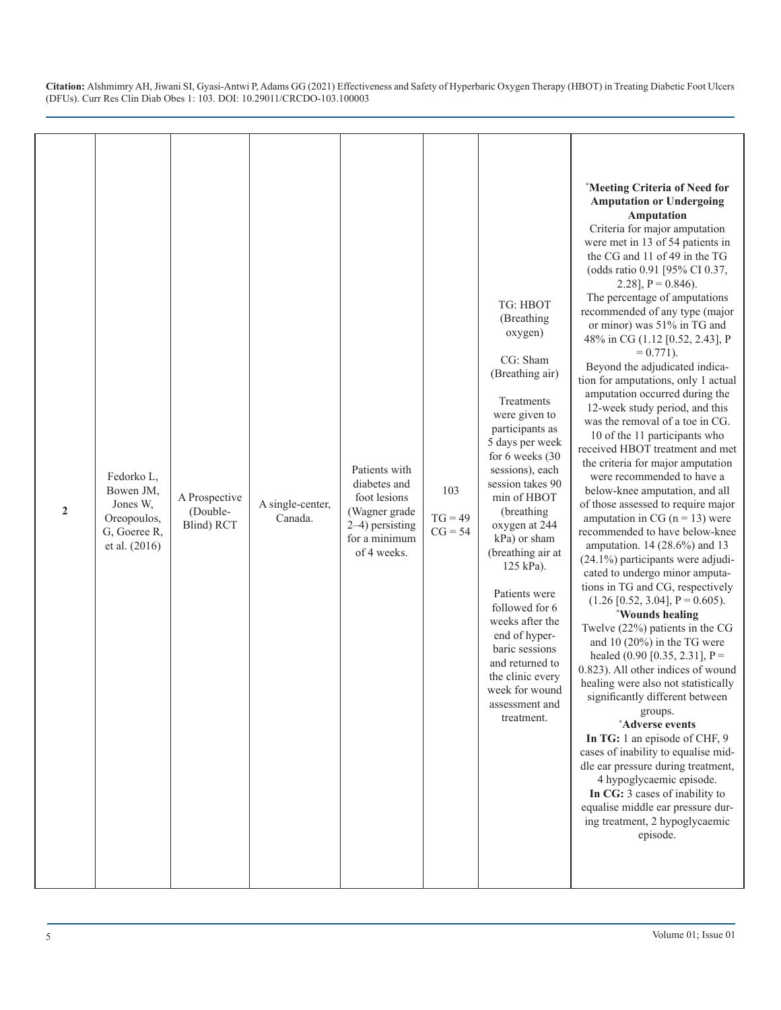| $\overline{2}$ | Fedorko L,<br>Bowen JM,<br>Jones W,<br>Oreopoulos,<br>G, Goeree R,<br>et al. (2016) | A Prospective<br>(Double-<br>Blind) RCT | A single-center,<br>Canada. | Patients with<br>diabetes and<br>foot lesions<br>(Wagner grade<br>2–4) persisting<br>for a minimum<br>of 4 weeks. | 103<br>$TG = 49$<br>$CG = 54$ | TG: HBOT<br>(Breathing<br>oxygen)<br>CG: Sham<br>(Breathing air)<br>Treatments<br>were given to<br>participants as<br>5 days per week<br>for 6 weeks (30<br>sessions), each<br>session takes 90<br>min of HBOT<br>(breathing<br>oxygen at 244<br>kPa) or sham<br>(breathing air at<br>125 kPa).<br>Patients were<br>followed for 6<br>weeks after the<br>end of hyper-<br>baric sessions<br>and returned to<br>the clinic every<br>week for wound<br>assessment and<br>treatment. | *Meeting Criteria of Need for<br><b>Amputation or Undergoing</b><br>Amputation<br>Criteria for major amputation<br>were met in 13 of 54 patients in<br>the CG and 11 of 49 in the TG<br>(odds ratio 0.91 [95% CI 0.37,<br>2.28], $P = 0.846$ .<br>The percentage of amputations<br>recommended of any type (major<br>or minor) was 51% in TG and<br>48% in CG (1.12 [0.52, 2.43], P<br>$= 0.771$ ).<br>Beyond the adjudicated indica-<br>tion for amputations, only 1 actual<br>amputation occurred during the<br>12-week study period, and this<br>was the removal of a toe in CG.<br>10 of the 11 participants who<br>received HBOT treatment and met<br>the criteria for major amputation<br>were recommended to have a<br>below-knee amputation, and all<br>of those assessed to require major<br>amputation in CG ( $n = 13$ ) were<br>recommended to have below-knee<br>amputation. 14 (28.6%) and 13<br>$(24.1\%)$ participants were adjudi-<br>cated to undergo minor amputa-<br>tions in TG and CG, respectively<br>$(1.26 \, [0.52, 3.04], P = 0.605).$<br><i><b>*Wounds healing</b></i><br>Twelve $(22%)$ patients in the CG<br>and 10 $(20\%)$ in the TG were<br>healed $(0.90 \, [0.35, 2.31], P =$<br>0.823). All other indices of wound<br>healing were also not statistically<br>significantly different between<br>groups.<br>*Adverse events<br>In TG: 1 an episode of CHF, 9<br>cases of inability to equalise mid-<br>dle ear pressure during treatment,<br>4 hypoglycaemic episode.<br>In CG: 3 cases of inability to<br>equalise middle ear pressure dur-<br>ing treatment, 2 hypoglycaemic<br>episode. |
|----------------|-------------------------------------------------------------------------------------|-----------------------------------------|-----------------------------|-------------------------------------------------------------------------------------------------------------------|-------------------------------|-----------------------------------------------------------------------------------------------------------------------------------------------------------------------------------------------------------------------------------------------------------------------------------------------------------------------------------------------------------------------------------------------------------------------------------------------------------------------------------|-------------------------------------------------------------------------------------------------------------------------------------------------------------------------------------------------------------------------------------------------------------------------------------------------------------------------------------------------------------------------------------------------------------------------------------------------------------------------------------------------------------------------------------------------------------------------------------------------------------------------------------------------------------------------------------------------------------------------------------------------------------------------------------------------------------------------------------------------------------------------------------------------------------------------------------------------------------------------------------------------------------------------------------------------------------------------------------------------------------------------------------------------------------------------------------------------------------------------------------------------------------------------------------------------------------------------------------------------------------------------------------------------------------------------------------------------------------------------------------------------------------------------------------------------------------------------------------------------------------------------------|
|----------------|-------------------------------------------------------------------------------------|-----------------------------------------|-----------------------------|-------------------------------------------------------------------------------------------------------------------|-------------------------------|-----------------------------------------------------------------------------------------------------------------------------------------------------------------------------------------------------------------------------------------------------------------------------------------------------------------------------------------------------------------------------------------------------------------------------------------------------------------------------------|-------------------------------------------------------------------------------------------------------------------------------------------------------------------------------------------------------------------------------------------------------------------------------------------------------------------------------------------------------------------------------------------------------------------------------------------------------------------------------------------------------------------------------------------------------------------------------------------------------------------------------------------------------------------------------------------------------------------------------------------------------------------------------------------------------------------------------------------------------------------------------------------------------------------------------------------------------------------------------------------------------------------------------------------------------------------------------------------------------------------------------------------------------------------------------------------------------------------------------------------------------------------------------------------------------------------------------------------------------------------------------------------------------------------------------------------------------------------------------------------------------------------------------------------------------------------------------------------------------------------------------|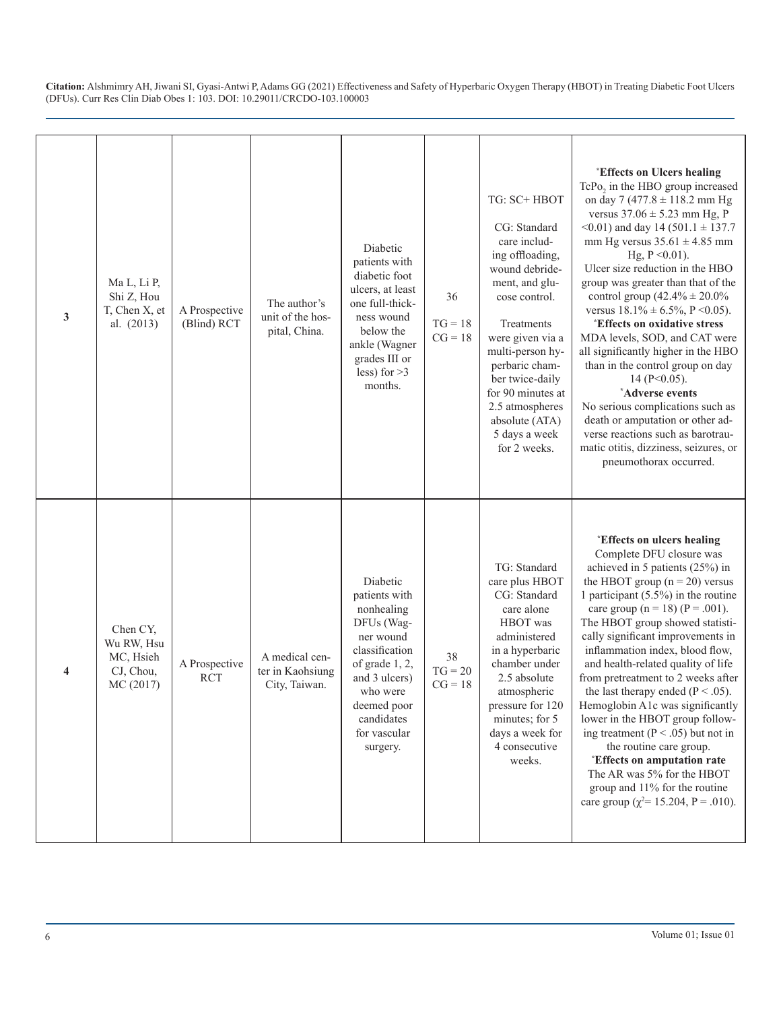| 3 | Ma L, Li P,<br>Shi Z, Hou<br>T, Chen X, et<br>al. $(2013)$    | A Prospective<br>(Blind) RCT | The author's<br>unit of the hos-<br>pital, China.   | Diabetic<br>patients with<br>diabetic foot<br>ulcers, at least<br>one full-thick-<br>ness wound<br>below the<br>ankle (Wagner<br>grades III or<br>less) for $>3$<br>months.                  | 36<br>$TG = 18$<br>$CG = 18$ | TG: SC+ HBOT<br>CG: Standard<br>care includ-<br>ing offloading,<br>wound debride-<br>ment, and glu-<br>cose control.<br>Treatments<br>were given via a<br>multi-person hy-<br>perbaric cham-<br>ber twice-daily<br>for 90 minutes at<br>2.5 atmospheres<br>absolute (ATA)<br>5 days a week<br>for 2 weeks. | <i><b>*Effects on Ulcers healing</b></i><br>TcPo <sub>2</sub> in the HBO group increased<br>on day 7 (477.8 $\pm$ 118.2 mm Hg<br>versus $37.06 \pm 5.23$ mm Hg, P<br><0.01) and day 14 (501.1 $\pm$ 137.7<br>mm Hg versus $35.61 \pm 4.85$ mm<br>Hg, $P \le 0.01$ ).<br>Ulcer size reduction in the HBO<br>group was greater than that of the<br>control group $(42.4\% \pm 20.0\%$<br>versus $18.1\% \pm 6.5\%$ , P < 0.05).<br><i><b>*Effects on oxidative stress</b></i><br>MDA levels, SOD, and CAT were<br>all significantly higher in the HBO<br>than in the control group on day<br>14 ( $P<0.05$ ).<br>*Adverse events<br>No serious complications such as<br>death or amputation or other ad-<br>verse reactions such as barotrau-<br>matic otitis, dizziness, seizures, or<br>pneumothorax occurred. |
|---|---------------------------------------------------------------|------------------------------|-----------------------------------------------------|----------------------------------------------------------------------------------------------------------------------------------------------------------------------------------------------|------------------------------|------------------------------------------------------------------------------------------------------------------------------------------------------------------------------------------------------------------------------------------------------------------------------------------------------------|----------------------------------------------------------------------------------------------------------------------------------------------------------------------------------------------------------------------------------------------------------------------------------------------------------------------------------------------------------------------------------------------------------------------------------------------------------------------------------------------------------------------------------------------------------------------------------------------------------------------------------------------------------------------------------------------------------------------------------------------------------------------------------------------------------------|
| 4 | Chen CY,<br>Wu RW, Hsu<br>MC, Hsieh<br>CJ, Chou,<br>MC (2017) | A Prospective<br><b>RCT</b>  | A medical cen-<br>ter in Kaohsiung<br>City, Taiwan. | Diabetic<br>patients with<br>nonhealing<br>DFUs (Wag-<br>ner wound<br>classification<br>of grade 1, 2,<br>and 3 ulcers)<br>who were<br>deemed poor<br>candidates<br>for vascular<br>surgery. | 38<br>$TG = 20$<br>$CG = 18$ | TG: Standard<br>care plus HBOT<br>CG: Standard<br>care alone<br>HBOT was<br>administered<br>in a hyperbaric<br>chamber under<br>2.5 absolute<br>atmospheric<br>pressure for 120<br>minutes; for 5<br>days a week for<br>4 consecutive<br>weeks.                                                            | <i><b>*Effects on ulcers healing</b></i><br>Complete DFU closure was<br>achieved in 5 patients (25%) in<br>the HBOT group $(n = 20)$ versus<br>1 participant $(5.5\%)$ in the routine<br>care group ( $n = 18$ ) ( $P = .001$ ).<br>The HBOT group showed statisti-<br>cally significant improvements in<br>inflammation index, blood flow,<br>and health-related quality of life<br>from pretreatment to 2 weeks after<br>the last therapy ended ( $P < .05$ ).<br>Hemoglobin A1c was significantly<br>lower in the HBOT group follow-<br>ing treatment ( $P < .05$ ) but not in<br>the routine care group.<br><i><b>*Effects on amputation rate</b></i><br>The AR was 5% for the HBOT<br>group and 11% for the routine<br>care group ( $\chi^2$ = 15.204, P = .010).                                         |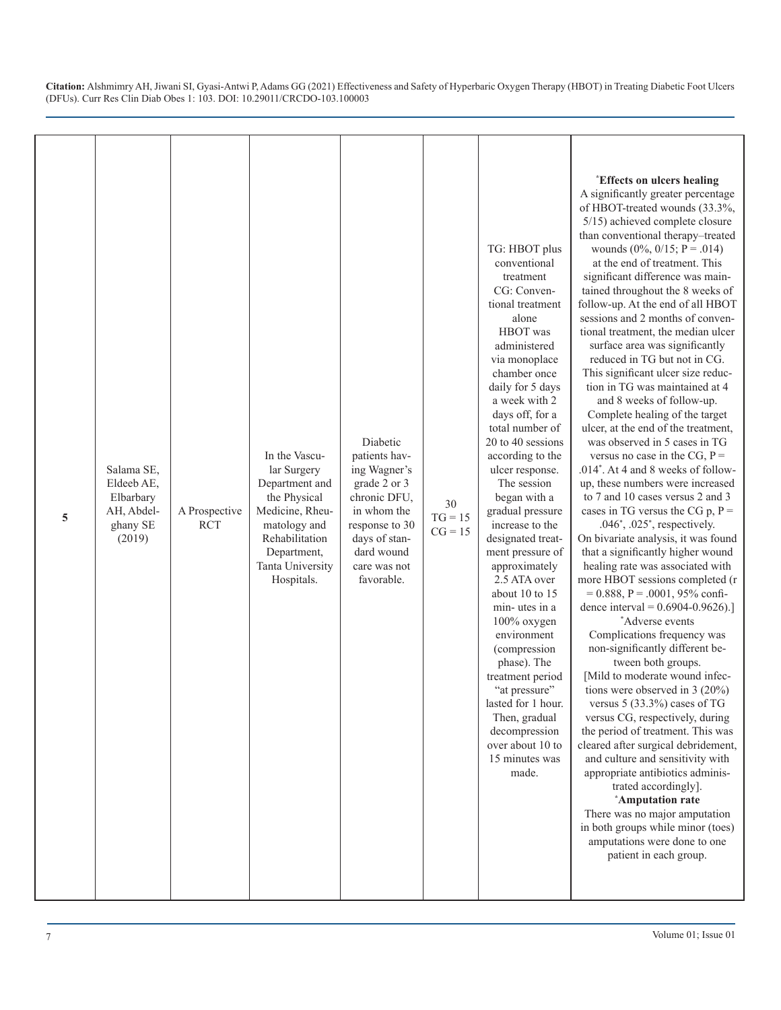| 5 | Salama SE,<br>Eldeeb AE,<br>Elbarbary<br>AH, Abdel-<br>ghany SE<br>(2019) | A Prospective<br><b>RCT</b> | In the Vascu-<br>lar Surgery<br>Department and<br>the Physical<br>Medicine, Rheu-<br>matology and<br>Rehabilitation<br>Department,<br>Tanta University<br>Hospitals. | Diabetic<br>patients hav-<br>ing Wagner's<br>grade 2 or 3<br>chronic DFU,<br>in whom the<br>response to 30<br>days of stan-<br>dard wound<br>care was not<br>favorable. | $30\,$<br>$TG = 15$<br>$CG = 15$ | TG: HBOT plus<br>conventional<br>treatment<br>CG: Conven-<br>tional treatment<br>alone<br>HBOT was<br>administered<br>via monoplace<br>chamber once<br>daily for 5 days<br>a week with 2<br>days off, for a<br>total number of<br>20 to 40 sessions<br>according to the<br>ulcer response.<br>The session<br>began with a<br>gradual pressure<br>increase to the<br>designated treat-<br>ment pressure of<br>approximately<br>2.5 ATA over<br>about 10 to 15<br>min-utes in a<br>100% oxygen<br>environment<br>(compression<br>phase). The<br>treatment period<br>"at pressure"<br>lasted for 1 hour.<br>Then, gradual<br>decompression<br>over about 10 to<br>15 minutes was<br>made. | <i><b>Effects on ulcers healing</b></i><br>A significantly greater percentage<br>of HBOT-treated wounds (33.3%,<br>5/15) achieved complete closure<br>than conventional therapy-treated<br>wounds $(0\%, 0/15; P = .014)$<br>at the end of treatment. This<br>significant difference was main-<br>tained throughout the 8 weeks of<br>follow-up. At the end of all HBOT<br>sessions and 2 months of conven-<br>tional treatment, the median ulcer<br>surface area was significantly<br>reduced in TG but not in CG.<br>This significant ulcer size reduc-<br>tion in TG was maintained at 4<br>and 8 weeks of follow-up.<br>Complete healing of the target<br>ulcer, at the end of the treatment,<br>was observed in 5 cases in TG<br>versus no case in the CG, $P =$<br>.014*. At 4 and 8 weeks of follow-<br>up, these numbers were increased<br>to 7 and 10 cases versus 2 and 3<br>cases in TG versus the CG $p$ , $P =$<br>$.046^*$ , $.025^*$ , respectively.<br>On bivariate analysis, it was found<br>that a significantly higher wound<br>healing rate was associated with<br>more HBOT sessions completed (r<br>$= 0.888$ , P = .0001, 95% confi-<br>dence interval = $0.6904 - 0.9626$ .]<br>*Adverse events<br>Complications frequency was<br>non-significantly different be-<br>tween both groups.<br>[Mild to moderate wound infec-<br>tions were observed in $3(20\%)$<br>versus $5(33.3\%)$ cases of TG<br>versus CG, respectively, during<br>the period of treatment. This was<br>cleared after surgical debridement,<br>and culture and sensitivity with<br>appropriate antibiotics adminis-<br>trated accordingly].<br>*Amputation rate<br>There was no major amputation<br>in both groups while minor (toes)<br>amputations were done to one<br>patient in each group. |
|---|---------------------------------------------------------------------------|-----------------------------|----------------------------------------------------------------------------------------------------------------------------------------------------------------------|-------------------------------------------------------------------------------------------------------------------------------------------------------------------------|----------------------------------|----------------------------------------------------------------------------------------------------------------------------------------------------------------------------------------------------------------------------------------------------------------------------------------------------------------------------------------------------------------------------------------------------------------------------------------------------------------------------------------------------------------------------------------------------------------------------------------------------------------------------------------------------------------------------------------|--------------------------------------------------------------------------------------------------------------------------------------------------------------------------------------------------------------------------------------------------------------------------------------------------------------------------------------------------------------------------------------------------------------------------------------------------------------------------------------------------------------------------------------------------------------------------------------------------------------------------------------------------------------------------------------------------------------------------------------------------------------------------------------------------------------------------------------------------------------------------------------------------------------------------------------------------------------------------------------------------------------------------------------------------------------------------------------------------------------------------------------------------------------------------------------------------------------------------------------------------------------------------------------------------------------------------------------------------------------------------------------------------------------------------------------------------------------------------------------------------------------------------------------------------------------------------------------------------------------------------------------------------------------------------------------------------------------------------------------------------------------------------------------------|
|---|---------------------------------------------------------------------------|-----------------------------|----------------------------------------------------------------------------------------------------------------------------------------------------------------------|-------------------------------------------------------------------------------------------------------------------------------------------------------------------------|----------------------------------|----------------------------------------------------------------------------------------------------------------------------------------------------------------------------------------------------------------------------------------------------------------------------------------------------------------------------------------------------------------------------------------------------------------------------------------------------------------------------------------------------------------------------------------------------------------------------------------------------------------------------------------------------------------------------------------|--------------------------------------------------------------------------------------------------------------------------------------------------------------------------------------------------------------------------------------------------------------------------------------------------------------------------------------------------------------------------------------------------------------------------------------------------------------------------------------------------------------------------------------------------------------------------------------------------------------------------------------------------------------------------------------------------------------------------------------------------------------------------------------------------------------------------------------------------------------------------------------------------------------------------------------------------------------------------------------------------------------------------------------------------------------------------------------------------------------------------------------------------------------------------------------------------------------------------------------------------------------------------------------------------------------------------------------------------------------------------------------------------------------------------------------------------------------------------------------------------------------------------------------------------------------------------------------------------------------------------------------------------------------------------------------------------------------------------------------------------------------------------------------------|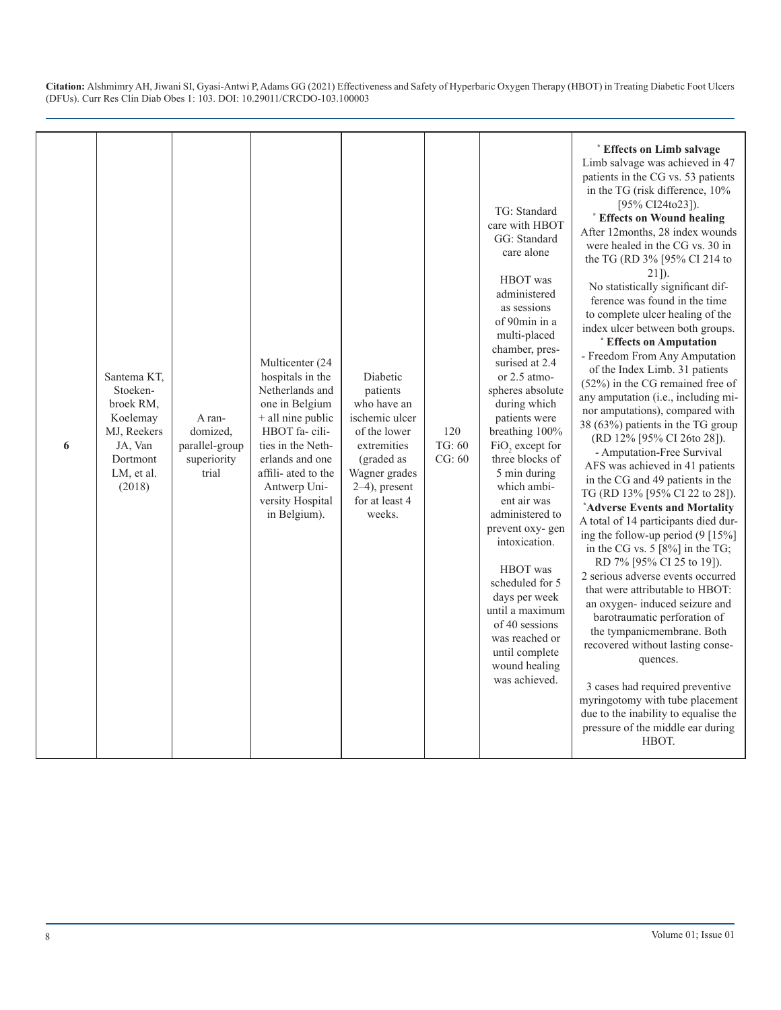| 6 | Santema KT,<br>Stoeken-<br>broek RM.<br>Koelemay<br>MJ, Reekers<br>JA, Van<br>Dortmont<br>LM, et al.<br>(2018) | A ran-<br>domized,<br>parallel-group<br>superiority<br>trial | Multicenter (24<br>hospitals in the<br>Netherlands and<br>one in Belgium<br>+ all nine public<br>HBOT fa-cili-<br>ties in the Neth-<br>erlands and one<br>affili- ated to the<br>Antwerp Uni-<br>versity Hospital<br>in Belgium). | Diabetic<br>patients<br>who have an<br>ischemic ulcer<br>of the lower<br>extremities<br>(graded as<br>Wagner grades<br>$2-4$ ), present<br>for at least 4<br>weeks. | 120<br>TG: 60<br>CG: 60 | TG: Standard<br>care with HBOT<br>GG: Standard<br>care alone<br>HBOT was<br>administered<br>as sessions<br>of 90min in a<br>multi-placed<br>chamber, pres-<br>surised at 2.4<br>or 2.5 atmo-<br>spheres absolute<br>during which<br>patients were<br>breathing 100%<br>FiO <sub>2</sub> except for<br>three blocks of<br>5 min during<br>which ambi-<br>ent air was<br>administered to<br>prevent oxy-gen<br>intoxication.<br>HBOT was<br>scheduled for 5<br>days per week<br>until a maximum<br>of 40 sessions<br>was reached or<br>until complete<br>wound healing<br>was achieved. | * Effects on Limb salvage<br>Limb salvage was achieved in 47<br>patients in the CG vs. 53 patients<br>in the TG (risk difference, 10%<br>[95% CI24to23]).<br>* Effects on Wound healing<br>After 12months, 28 index wounds<br>were healed in the CG vs. 30 in<br>the TG (RD 3% [95% CI 214 to<br>$21$ ]).<br>No statistically significant dif-<br>ference was found in the time<br>to complete ulcer healing of the<br>index ulcer between both groups.<br>* Effects on Amputation<br>- Freedom From Any Amputation<br>of the Index Limb. 31 patients<br>$(52%)$ in the CG remained free of<br>any amputation (i.e., including mi-<br>nor amputations), compared with<br>38 (63%) patients in the TG group<br>(RD 12% [95% CI 26to 28]).<br>- Amputation-Free Survival<br>AFS was achieved in 41 patients<br>in the CG and 49 patients in the<br>TG (RD 13% [95% CI 22 to 28]).<br>*Adverse Events and Mortality<br>A total of 14 participants died dur-<br>ing the follow-up period $(9 \mid 15\%)$<br>in the CG vs. $5 \times 18\%$ in the TG;<br>RD 7% [95% CI 25 to 19]).<br>2 serious adverse events occurred<br>that were attributable to HBOT:<br>an oxygen- induced seizure and<br>barotraumatic perforation of<br>the tympanicmembrane. Both<br>recovered without lasting conse-<br>quences.<br>3 cases had required preventive<br>myringotomy with tube placement<br>due to the inability to equalise the<br>pressure of the middle ear during<br>HBOT. |
|---|----------------------------------------------------------------------------------------------------------------|--------------------------------------------------------------|-----------------------------------------------------------------------------------------------------------------------------------------------------------------------------------------------------------------------------------|---------------------------------------------------------------------------------------------------------------------------------------------------------------------|-------------------------|---------------------------------------------------------------------------------------------------------------------------------------------------------------------------------------------------------------------------------------------------------------------------------------------------------------------------------------------------------------------------------------------------------------------------------------------------------------------------------------------------------------------------------------------------------------------------------------|-------------------------------------------------------------------------------------------------------------------------------------------------------------------------------------------------------------------------------------------------------------------------------------------------------------------------------------------------------------------------------------------------------------------------------------------------------------------------------------------------------------------------------------------------------------------------------------------------------------------------------------------------------------------------------------------------------------------------------------------------------------------------------------------------------------------------------------------------------------------------------------------------------------------------------------------------------------------------------------------------------------------------------------------------------------------------------------------------------------------------------------------------------------------------------------------------------------------------------------------------------------------------------------------------------------------------------------------------------------------------------------------------------------------------------------------------------------------|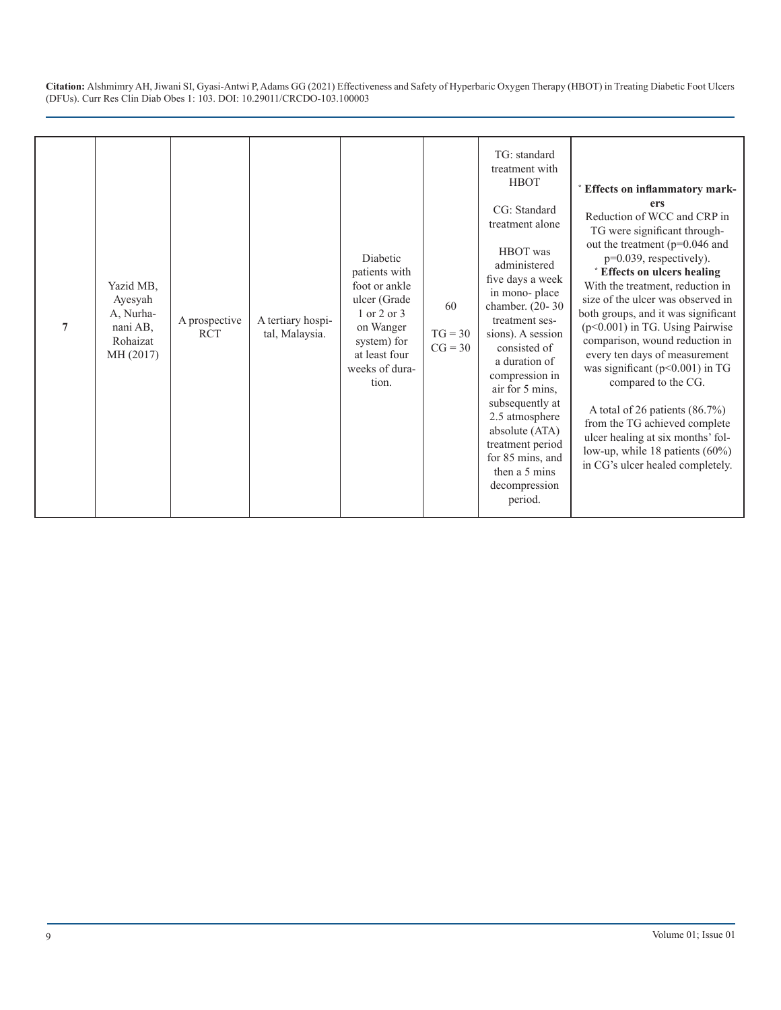| $\overline{7}$ | Yazid MB,<br>Ayesyah<br>A, Nurha-<br>nani AB,<br>Rohaizat<br>MH (2017) | A prospective<br><b>RCT</b> | A tertiary hospi-<br>tal, Malaysia. | Diabetic<br>patients with<br>foot or ankle<br>ulcer (Grade<br>1 or 2 or 3<br>on Wanger<br>system) for<br>at least four<br>weeks of dura-<br>tion. | 60<br>$TG = 30$<br>$CG = 30$ | TG: standard<br>treatment with<br><b>HBOT</b><br>CG: Standard<br>treatment alone<br>HBOT was<br>administered<br>five days a week<br>in mono-place<br>chamber. (20-30)<br>treatment ses-<br>sions). A session<br>consisted of<br>a duration of<br>compression in<br>air for 5 mins,<br>subsequently at<br>2.5 atmosphere<br>absolute (ATA)<br>treatment period<br>for 85 mins, and<br>then a 5 mins<br>decompression<br>period. | * Effects on inflammatory mark-<br>ers<br>Reduction of WCC and CRP in<br>TG were significant through-<br>out the treatment (p=0.046 and<br>p=0.039, respectively).<br>* Effects on ulcers healing<br>With the treatment, reduction in<br>size of the ulcer was observed in<br>both groups, and it was significant<br>$(p<0.001)$ in TG. Using Pairwise<br>comparison, wound reduction in<br>every ten days of measurement<br>was significant (p<0.001) in TG<br>compared to the CG.<br>A total of 26 patients $(86.7\%)$<br>from the TG achieved complete<br>ulcer healing at six months' fol-<br>low-up, while 18 patients (60%)<br>in CG's ulcer healed completely. |
|----------------|------------------------------------------------------------------------|-----------------------------|-------------------------------------|---------------------------------------------------------------------------------------------------------------------------------------------------|------------------------------|--------------------------------------------------------------------------------------------------------------------------------------------------------------------------------------------------------------------------------------------------------------------------------------------------------------------------------------------------------------------------------------------------------------------------------|-----------------------------------------------------------------------------------------------------------------------------------------------------------------------------------------------------------------------------------------------------------------------------------------------------------------------------------------------------------------------------------------------------------------------------------------------------------------------------------------------------------------------------------------------------------------------------------------------------------------------------------------------------------------------|
|----------------|------------------------------------------------------------------------|-----------------------------|-------------------------------------|---------------------------------------------------------------------------------------------------------------------------------------------------|------------------------------|--------------------------------------------------------------------------------------------------------------------------------------------------------------------------------------------------------------------------------------------------------------------------------------------------------------------------------------------------------------------------------------------------------------------------------|-----------------------------------------------------------------------------------------------------------------------------------------------------------------------------------------------------------------------------------------------------------------------------------------------------------------------------------------------------------------------------------------------------------------------------------------------------------------------------------------------------------------------------------------------------------------------------------------------------------------------------------------------------------------------|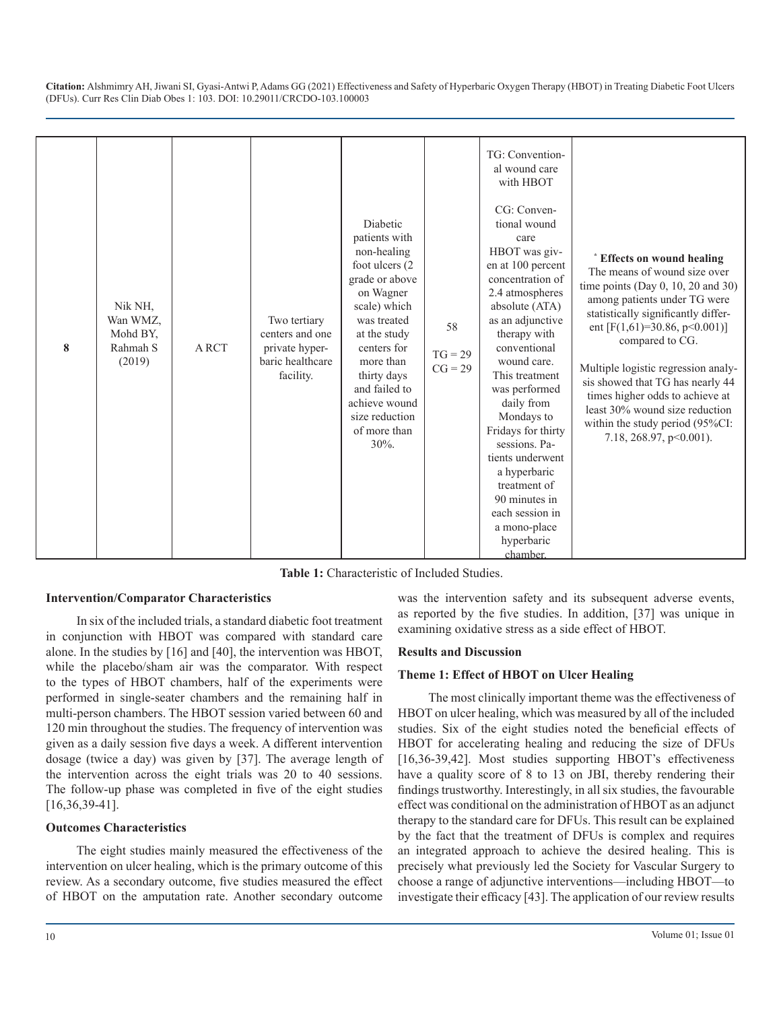| 8 | Nik NH,<br>Wan WMZ,<br>Mohd BY,<br>Rahmah S<br>(2019) | <b>ARCT</b> | Two tertiary<br>centers and one<br>private hyper-<br>baric healthcare<br>facility. | Diabetic<br>patients with<br>non-healing<br>foot ulcers (2)<br>grade or above<br>on Wagner<br>scale) which<br>was treated<br>at the study<br>centers for<br>more than<br>thirty days<br>and failed to<br>achieve wound<br>size reduction<br>of more than<br>$30\%$ . | 58<br>$TG = 29$<br>$CG = 29$ | TG: Convention-<br>al wound care<br>with HBOT<br>CG: Conven-<br>tional wound<br>care<br>HBOT was giv-<br>en at 100 percent<br>concentration of<br>2.4 atmospheres<br>absolute (ATA)<br>as an adjunctive<br>therapy with<br>conventional<br>wound care.<br>This treatment<br>was performed<br>daily from<br>Mondays to<br>Fridays for thirty<br>sessions. Pa-<br>tients underwent<br>a hyperbaric<br>treatment of<br>90 minutes in<br>each session in<br>a mono-place<br>hyperbaric<br>chamber. | * Effects on wound healing<br>The means of wound size over<br>time points (Day $0$ , 10, 20 and 30)<br>among patients under TG were<br>statistically significantly differ-<br>ent [F(1,61)=30.86, p<0.001)]<br>compared to CG.<br>Multiple logistic regression analy-<br>sis showed that TG has nearly 44<br>times higher odds to achieve at<br>least 30% wound size reduction<br>within the study period (95%CI:<br>7.18, 268.97, $p<0.001$ ). |
|---|-------------------------------------------------------|-------------|------------------------------------------------------------------------------------|----------------------------------------------------------------------------------------------------------------------------------------------------------------------------------------------------------------------------------------------------------------------|------------------------------|------------------------------------------------------------------------------------------------------------------------------------------------------------------------------------------------------------------------------------------------------------------------------------------------------------------------------------------------------------------------------------------------------------------------------------------------------------------------------------------------|-------------------------------------------------------------------------------------------------------------------------------------------------------------------------------------------------------------------------------------------------------------------------------------------------------------------------------------------------------------------------------------------------------------------------------------------------|
|---|-------------------------------------------------------|-------------|------------------------------------------------------------------------------------|----------------------------------------------------------------------------------------------------------------------------------------------------------------------------------------------------------------------------------------------------------------------|------------------------------|------------------------------------------------------------------------------------------------------------------------------------------------------------------------------------------------------------------------------------------------------------------------------------------------------------------------------------------------------------------------------------------------------------------------------------------------------------------------------------------------|-------------------------------------------------------------------------------------------------------------------------------------------------------------------------------------------------------------------------------------------------------------------------------------------------------------------------------------------------------------------------------------------------------------------------------------------------|

**Table 1:** Characteristic of Included Studies.

#### **Intervention/Comparator Characteristics**

In six of the included trials, a standard diabetic foot treatment in conjunction with HBOT was compared with standard care alone. In the studies by [16] and [40], the intervention was HBOT, while the placebo/sham air was the comparator. With respect to the types of HBOT chambers, half of the experiments were performed in single-seater chambers and the remaining half in multi-person chambers. The HBOT session varied between 60 and 120 min throughout the studies. The frequency of intervention was given as a daily session five days a week. A different intervention dosage (twice a day) was given by [37]. The average length of the intervention across the eight trials was 20 to 40 sessions. The follow-up phase was completed in five of the eight studies [16,36,39-41].

#### **Outcomes Characteristics**

The eight studies mainly measured the effectiveness of the intervention on ulcer healing, which is the primary outcome of this review. As a secondary outcome, five studies measured the effect of HBOT on the amputation rate. Another secondary outcome was the intervention safety and its subsequent adverse events, as reported by the five studies. In addition, [37] was unique in examining oxidative stress as a side effect of HBOT.

#### **Results and Discussion**

## **Theme 1: Effect of HBOT on Ulcer Healing**

The most clinically important theme was the effectiveness of HBOT on ulcer healing, which was measured by all of the included studies. Six of the eight studies noted the beneficial effects of HBOT for accelerating healing and reducing the size of DFUs [16,36-39,42]. Most studies supporting HBOT's effectiveness have a quality score of 8 to 13 on JBI, thereby rendering their findings trustworthy. Interestingly, in all six studies, the favourable effect was conditional on the administration of HBOT as an adjunct therapy to the standard care for DFUs. This result can be explained by the fact that the treatment of DFUs is complex and requires an integrated approach to achieve the desired healing. This is precisely what previously led the Society for Vascular Surgery to choose a range of adjunctive interventions—including HBOT—to investigate their efficacy [43]. The application of our review results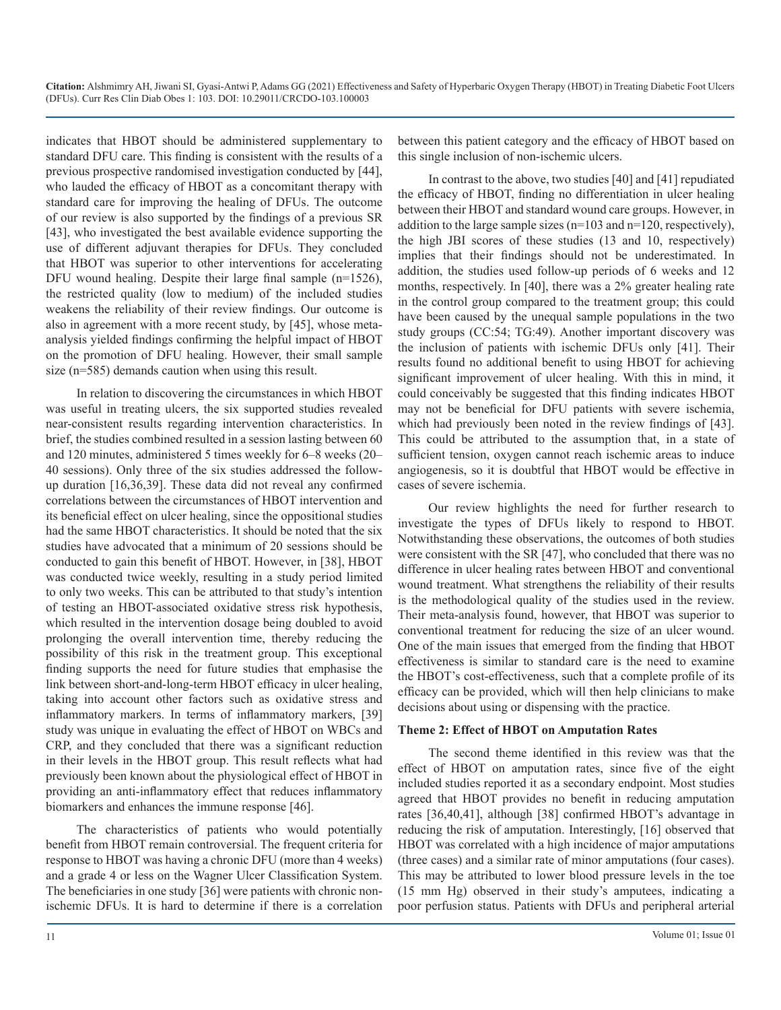indicates that HBOT should be administered supplementary to standard DFU care. This finding is consistent with the results of a previous prospective randomised investigation conducted by [44], who lauded the efficacy of HBOT as a concomitant therapy with standard care for improving the healing of DFUs. The outcome of our review is also supported by the findings of a previous SR [43], who investigated the best available evidence supporting the use of different adjuvant therapies for DFUs. They concluded that HBOT was superior to other interventions for accelerating DFU wound healing. Despite their large final sample (n=1526), the restricted quality (low to medium) of the included studies weakens the reliability of their review findings. Our outcome is also in agreement with a more recent study, by [45], whose metaanalysis yielded findings confirming the helpful impact of HBOT on the promotion of DFU healing. However, their small sample size (n=585) demands caution when using this result.

In relation to discovering the circumstances in which HBOT was useful in treating ulcers, the six supported studies revealed near-consistent results regarding intervention characteristics. In brief, the studies combined resulted in a session lasting between 60 and 120 minutes, administered 5 times weekly for 6–8 weeks (20– 40 sessions). Only three of the six studies addressed the followup duration [16,36,39]. These data did not reveal any confirmed correlations between the circumstances of HBOT intervention and its beneficial effect on ulcer healing, since the oppositional studies had the same HBOT characteristics. It should be noted that the six studies have advocated that a minimum of 20 sessions should be conducted to gain this benefit of HBOT. However, in [38], HBOT was conducted twice weekly, resulting in a study period limited to only two weeks. This can be attributed to that study's intention of testing an HBOT-associated oxidative stress risk hypothesis, which resulted in the intervention dosage being doubled to avoid prolonging the overall intervention time, thereby reducing the possibility of this risk in the treatment group. This exceptional finding supports the need for future studies that emphasise the link between short-and-long-term HBOT efficacy in ulcer healing, taking into account other factors such as oxidative stress and inflammatory markers. In terms of inflammatory markers, [39] study was unique in evaluating the effect of HBOT on WBCs and CRP, and they concluded that there was a significant reduction in their levels in the HBOT group. This result reflects what had previously been known about the physiological effect of HBOT in providing an anti-inflammatory effect that reduces inflammatory biomarkers and enhances the immune response [46].

The characteristics of patients who would potentially benefit from HBOT remain controversial. The frequent criteria for response to HBOT was having a chronic DFU (more than 4 weeks) and a grade 4 or less on the Wagner Ulcer Classification System. The beneficiaries in one study [36] were patients with chronic nonischemic DFUs. It is hard to determine if there is a correlation between this patient category and the efficacy of HBOT based on this single inclusion of non-ischemic ulcers.

In contrast to the above, two studies [40] and [41] repudiated the efficacy of HBOT, finding no differentiation in ulcer healing between their HBOT and standard wound care groups. However, in addition to the large sample sizes (n=103 and n=120, respectively), the high JBI scores of these studies (13 and 10, respectively) implies that their findings should not be underestimated. In addition, the studies used follow-up periods of 6 weeks and 12 months, respectively. In [40], there was a 2% greater healing rate in the control group compared to the treatment group; this could have been caused by the unequal sample populations in the two study groups (CC:54; TG:49). Another important discovery was the inclusion of patients with ischemic DFUs only [41]. Their results found no additional benefit to using HBOT for achieving significant improvement of ulcer healing. With this in mind, it could conceivably be suggested that this finding indicates HBOT may not be beneficial for DFU patients with severe ischemia, which had previously been noted in the review findings of [43]. This could be attributed to the assumption that, in a state of sufficient tension, oxygen cannot reach ischemic areas to induce angiogenesis, so it is doubtful that HBOT would be effective in cases of severe ischemia.

Our review highlights the need for further research to investigate the types of DFUs likely to respond to HBOT. Notwithstanding these observations, the outcomes of both studies were consistent with the SR [47], who concluded that there was no difference in ulcer healing rates between HBOT and conventional wound treatment. What strengthens the reliability of their results is the methodological quality of the studies used in the review. Their meta-analysis found, however, that HBOT was superior to conventional treatment for reducing the size of an ulcer wound. One of the main issues that emerged from the finding that HBOT effectiveness is similar to standard care is the need to examine the HBOT's cost-effectiveness, such that a complete profile of its efficacy can be provided, which will then help clinicians to make decisions about using or dispensing with the practice.

#### **Theme 2: Effect of HBOT on Amputation Rates**

The second theme identified in this review was that the effect of HBOT on amputation rates, since five of the eight included studies reported it as a secondary endpoint. Most studies agreed that HBOT provides no benefit in reducing amputation rates [36,40,41], although [38] confirmed HBOT's advantage in reducing the risk of amputation. Interestingly, [16] observed that HBOT was correlated with a high incidence of major amputations (three cases) and a similar rate of minor amputations (four cases). This may be attributed to lower blood pressure levels in the toe (15 mm Hg) observed in their study's amputees, indicating a poor perfusion status. Patients with DFUs and peripheral arterial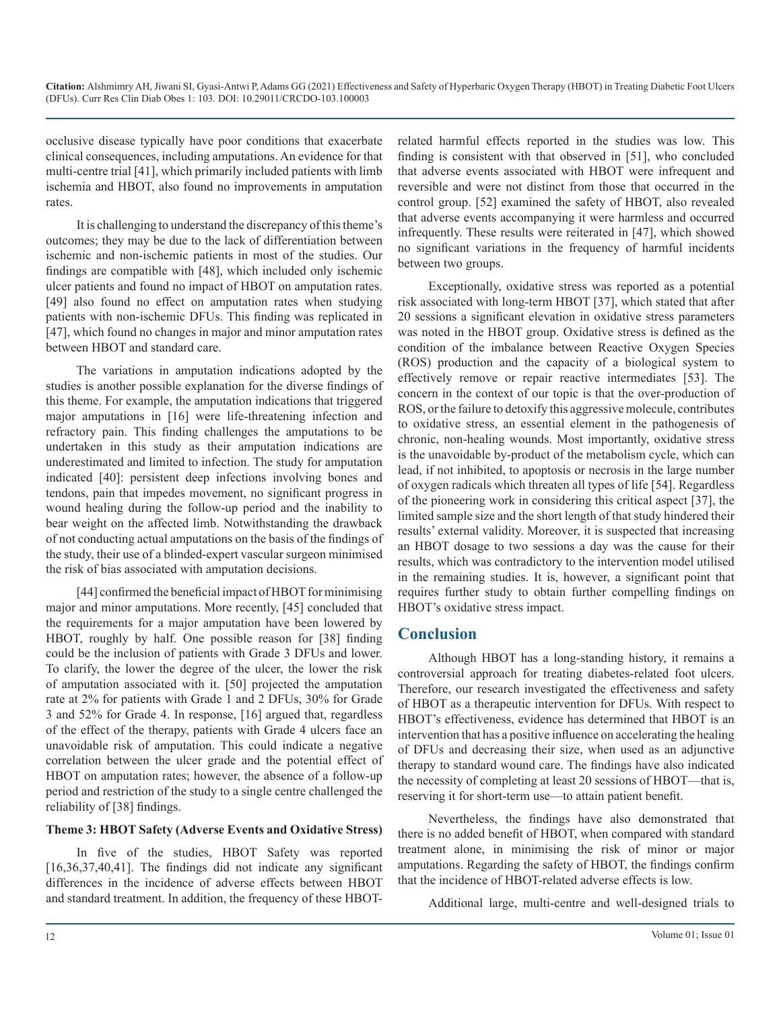occlusive disease typically have poor conditions that exacerbate clinical consequences, including amputations. An evidence for that multi-centre trial [41], which primarily included patients with limb ischemia and HBOT, also found no improvements in amputation rates.

It is challenging to understand the discrepancy of this theme's outcomes; they may be due to the lack of differentiation between ischemic and non-ischemic patients in most of the studies. Our findings are compatible with [48], which included only ischemic ulcer patients and found no impact of HBOT on amputation rates. [49] also found no effect on amputation rates when studying patients with non-ischemic DFUs. This finding was replicated in [47], which found no changes in major and minor amputation rates between HBOT and standard care.

The variations in amputation indications adopted by the studies is another possible explanation for the diverse findings of this theme. For example, the amputation indications that triggered major amputations in [16] were life-threatening infection and refractory pain. This finding challenges the amputations to be undertaken in this study as their amputation indications are underestimated and limited to infection. The study for amputation indicated [40]: persistent deep infections involving bones and tendons, pain that impedes movement, no significant progress in wound healing during the follow-up period and the inability to bear weight on the affected limb. Notwithstanding the drawback of not conducting actual amputations on the basis of the findings of the study, their use of a blinded-expert vascular surgeon minimised the risk of bias associated with amputation decisions.

[44] confirmed the beneficial impact of HBOT for minimising major and minor amputations. More recently, [45] concluded that the requirements for a major amputation have been lowered by HBOT, roughly by half. One possible reason for [38] finding could be the inclusion of patients with Grade 3 DFUs and lower. To clarify, the lower the degree of the ulcer, the lower the risk of amputation associated with it. [50] projected the amputation rate at 2% for patients with Grade 1 and 2 DFUs, 30% for Grade 3 and 52% for Grade 4. In response, [16] argued that, regardless of the effect of the therapy, patients with Grade 4 ulcers face an unavoidable risk of amputation. This could indicate a negative correlation between the ulcer grade and the potential effect of HBOT on amputation rates; however, the absence of a follow-up period and restriction of the study to a single centre challenged the reliability of [38] findings.

#### **Theme 3: HBOT Safety (Adverse Events and Oxidative Stress)**

In five of the studies, HBOT Safety was reported [16,36,37,40,41]. The findings did not indicate any significant differences in the incidence of adverse effects between HBOT and standard treatment. In addition, the frequency of these HBOT-

related harmful effects reported in the studies was low. This finding is consistent with that observed in [51], who concluded that adverse events associated with HBOT were infrequent and reversible and were not distinct from those that occurred in the control group. [52] examined the safety of HBOT, also revealed that adverse events accompanying it were harmless and occurred infrequently. These results were reiterated in [47], which showed no significant variations in the frequency of harmful incidents between two groups.

Exceptionally, oxidative stress was reported as a potential risk associated with long-term HBOT [37], which stated that after 20 sessions a significant elevation in oxidative stress parameters was noted in the HBOT group. Oxidative stress is defined as the condition of the imbalance between Reactive Oxygen Species (ROS) production and the capacity of a biological system to effectively remove or repair reactive intermediates [53]. The concern in the context of our topic is that the over-production of ROS, or the failure to detoxify this aggressive molecule, contributes to oxidative stress, an essential element in the pathogenesis of chronic, non-healing wounds. Most importantly, oxidative stress is the unavoidable by-product of the metabolism cycle, which can lead, if not inhibited, to apoptosis or necrosis in the large number of oxygen radicals which threaten all types of life [54]. Regardless of the pioneering work in considering this critical aspect [37], the limited sample size and the short length of that study hindered their results' external validity. Moreover, it is suspected that increasing an HBOT dosage to two sessions a day was the cause for their results, which was contradictory to the intervention model utilised in the remaining studies. It is, however, a significant point that requires further study to obtain further compelling findings on HBOT's oxidative stress impact.

# **Conclusion**

Although HBOT has a long-standing history, it remains a controversial approach for treating diabetes-related foot ulcers. Therefore, our research investigated the effectiveness and safety of HBOT as a therapeutic intervention for DFUs. With respect to HBOT's effectiveness, evidence has determined that HBOT is an intervention that has a positive influence on accelerating the healing of DFUs and decreasing their size, when used as an adjunctive therapy to standard wound care. The findings have also indicated the necessity of completing at least 20 sessions of HBOT—that is, reserving it for short-term use—to attain patient benefit.

Nevertheless, the findings have also demonstrated that there is no added benefit of HBOT, when compared with standard treatment alone, in minimising the risk of minor or major amputations. Regarding the safety of HBOT, the findings confirm that the incidence of HBOT-related adverse effects is low.

Additional large, multi-centre and well-designed trials to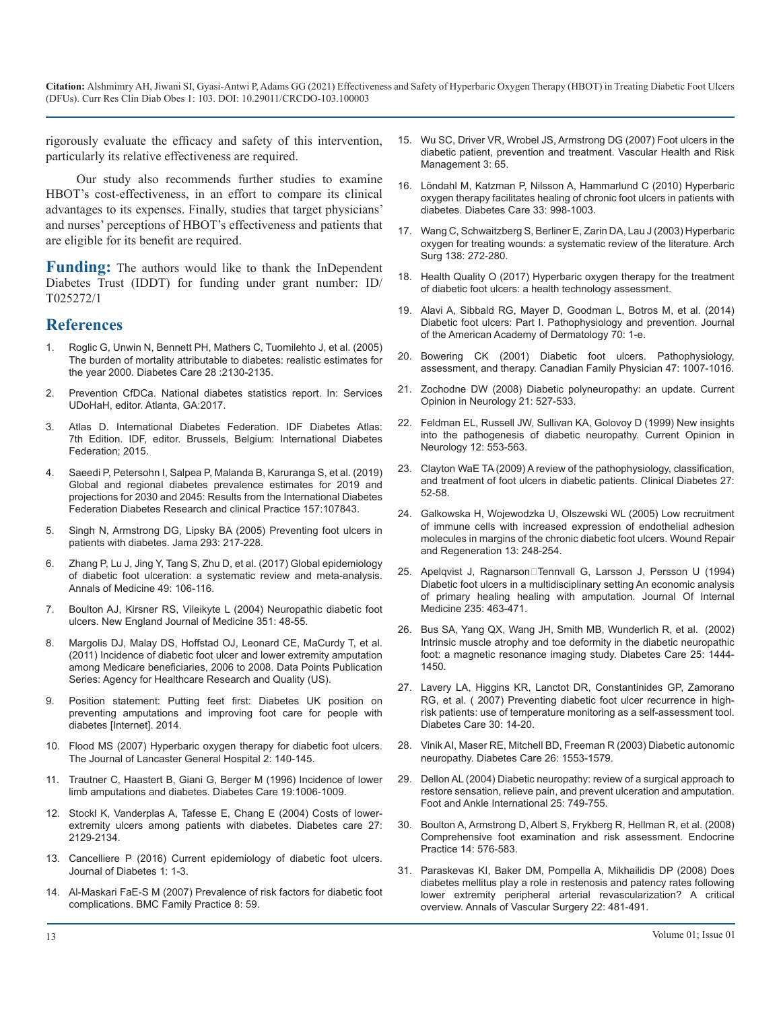rigorously evaluate the efficacy and safety of this intervention, particularly its relative effectiveness are required.

Our study also recommends further studies to examine HBOT's cost-effectiveness, in an effort to compare its clinical advantages to its expenses. Finally, studies that target physicians' and nurses' perceptions of HBOT's effectiveness and patients that are eligible for its benefit are required.

**Funding:** The authors would like to thank the InDependent Diabetes Trust (IDDT) for funding under grant number: ID/ T025272/1

# **References**

- 1. [Roglic G, Unwin N, Bennett PH, Mathers C, Tuomilehto J, et al. \(2005\)](https://care.diabetesjournals.org/content/28/9/2130#:~:text=RESULTS%E2%80%94The excess global mortality,Canada%2C and the Middle East.) [The burden of mortality attributable to diabetes: realistic estimates for](https://care.diabetesjournals.org/content/28/9/2130#:~:text=RESULTS%E2%80%94The excess global mortality,Canada%2C and the Middle East.)  [the year 2000. Diabetes Care 28 :2130-2135.](https://care.diabetesjournals.org/content/28/9/2130#:~:text=RESULTS%E2%80%94The excess global mortality,Canada%2C and the Middle East.)
- 2. [Prevention CfDCa. National diabetes statistics report. In: Services](https://dev.diabetes.org/sites/default/files/2019-06/cdc-statistics-report-2017.pdf)  [UDoHaH, editor. Atlanta, GA:2017.](https://dev.diabetes.org/sites/default/files/2019-06/cdc-statistics-report-2017.pdf)
- 3. Atlas D. International Diabetes Federation. IDF Diabetes Atlas: 7th Edition. IDF, editor. Brussels, Belgium: International Diabetes Federation; 2015.
- 4. [Saeedi P, Petersohn I, Salpea P, Malanda B, Karuranga S, et al. \(2019\)](https://pubmed.ncbi.nlm.nih.gov/31518657/)  [Global and regional diabetes prevalence estimates for 2019 and](https://pubmed.ncbi.nlm.nih.gov/31518657/)  [projections for 2030 and 2045: Results from the International Diabetes](https://pubmed.ncbi.nlm.nih.gov/31518657/)  [Federation Diabetes Research and clinical Practice 157:107843.](https://pubmed.ncbi.nlm.nih.gov/31518657/)
- 5. [Singh N, Armstrong DG, Lipsky BA \(2005\) Preventing foot ulcers in](https://pubmed.ncbi.nlm.nih.gov/15644549/)  [patients with diabetes. Jama 293: 217-228.](https://pubmed.ncbi.nlm.nih.gov/15644549/)
- 6. [Zhang P, Lu J, Jing Y, Tang S, Zhu D, et al. \(2017\) Global epidemiology](https://pubmed.ncbi.nlm.nih.gov/27585063/)  [of diabetic foot ulceration: a systematic review and meta-analysis.](https://pubmed.ncbi.nlm.nih.gov/27585063/)  [Annals of Medicine 49: 106-116.](https://pubmed.ncbi.nlm.nih.gov/27585063/)
- 7. [Boulton AJ, Kirsner RS, Vileikyte L \(2004\) Neuropathic diabetic foot](https://www.nejm.org/doi/full/10.1056/nejmcp032966)  [ulcers. New England Journal of Medicine 351: 48-55.](https://www.nejm.org/doi/full/10.1056/nejmcp032966)
- 8. [Margolis DJ, Malay DS, Hoffstad OJ, Leonard CE, MaCurdy T, et al.](https://www.ncbi.nlm.nih.gov/books/NBK65149/)  [\(2011\) Incidence of diabetic foot ulcer and lower extremity amputation](https://www.ncbi.nlm.nih.gov/books/NBK65149/)  [among Medicare beneficiaries, 2006 to 2008. Data Points Publication](https://www.ncbi.nlm.nih.gov/books/NBK65149/)  [Series: Agency for Healthcare Research and Quality \(US\).](https://www.ncbi.nlm.nih.gov/books/NBK65149/)
- 9. Position statement: Putting feet first: Diabetes UK position on preventing amputations and improving foot care for people with diabetes [Internet]. 2014.
- 10. [Flood MS \(2007\) Hyperbaric oxygen therapy for diabetic foot ulcers.](https://www.semanticscholar.org/paper/Hyperbaric-Oxygen-Therapy-for-Diabetic-Foot-Ulcers-Flood/7edec417e3fe94328b5eaca0e415446d47c8e426?p2df)  [The Journal of Lancaster General Hospital 2: 140-145.](https://www.semanticscholar.org/paper/Hyperbaric-Oxygen-Therapy-for-Diabetic-Foot-Ulcers-Flood/7edec417e3fe94328b5eaca0e415446d47c8e426?p2df)
- 11. [Trautner C, Haastert B, Giani G, Berger M \(1996\) Incidence of lower](https://pubmed.ncbi.nlm.nih.gov/8875099/)  [limb amputations and diabetes. Diabetes Care 19:1006-1009.](https://pubmed.ncbi.nlm.nih.gov/8875099/)
- 12. [Stockl K, Vanderplas A, Tafesse E, Chang E \(2004\) Costs of lower](https://pubmed.ncbi.nlm.nih.gov/15333473/)[extremity ulcers among patients with diabetes. Diabetes care 27:](https://pubmed.ncbi.nlm.nih.gov/15333473/) [2129-2134.](https://pubmed.ncbi.nlm.nih.gov/15333473/)
- 13. [Cancelliere P \(2016\) Current epidemiology of diabetic foot ulcers.](https://opastonline.com/wp-content/uploads/2016/10/current-epidemiology-of-diabetic-foot-ulcers-ijdmd-16-001.pdf)  [Journal of Diabetes 1: 1-3.](https://opastonline.com/wp-content/uploads/2016/10/current-epidemiology-of-diabetic-foot-ulcers-ijdmd-16-001.pdf)
- 14. [Al-Maskari FaE-S M \(2007\) Prevalence of risk factors for diabetic foot](https://pubmed.ncbi.nlm.nih.gov/17927826/) [complications. BMC Family Practice 8: 59.](https://pubmed.ncbi.nlm.nih.gov/17927826/)
- 15. [Wu SC, Driver VR, Wrobel JS, Armstrong DG \(2007\) Foot ulcers in the](https://www.ncbi.nlm.nih.gov/pmc/articles/PMC1994045/)  [diabetic patient, prevention and treatment. Vascular Health and Risk](https://www.ncbi.nlm.nih.gov/pmc/articles/PMC1994045/)  [Management 3: 65.](https://www.ncbi.nlm.nih.gov/pmc/articles/PMC1994045/)
- 16. [Löndahl M, Katzman P, Nilsson A, Hammarlund C \(2010\) Hyperbaric](https://pubmed.ncbi.nlm.nih.gov/20427683/)  [oxygen therapy facilitates healing of chronic foot ulcers in patients with](https://pubmed.ncbi.nlm.nih.gov/20427683/)  [diabetes. Diabetes Care 33: 998-1003.](https://pubmed.ncbi.nlm.nih.gov/20427683/)
- 17. [Wang C, Schwaitzberg S, Berliner E, Zarin DA, Lau J \(2003\) Hyperbaric](https://pubmed.ncbi.nlm.nih.gov/12611573/)  [oxygen for treating wounds: a systematic review of the literature. Arch](https://pubmed.ncbi.nlm.nih.gov/12611573/) [Surg 138: 272-280.](https://pubmed.ncbi.nlm.nih.gov/12611573/)
- 18. [Health Quality O \(2017\) Hyperbaric oxygen therapy for the treatment](https://pubmed.ncbi.nlm.nih.gov/28572866/)  [of diabetic foot ulcers: a health technology assessment.](https://pubmed.ncbi.nlm.nih.gov/28572866/)
- 19. [Alavi A, Sibbald RG, Mayer D, Goodman L, Botros M, et al. \(2014\)](https://pubmed.ncbi.nlm.nih.gov/24355275/)  [Diabetic foot ulcers: Part I. Pathophysiology and prevention. Journal](https://pubmed.ncbi.nlm.nih.gov/24355275/)  [of the American Academy of Dermatology 70: 1-e.](https://pubmed.ncbi.nlm.nih.gov/24355275/)
- 20. [Bowering CK \(2001\) Diabetic foot ulcers. Pathophysiology,](https://pubmed.ncbi.nlm.nih.gov/11398715/)  [assessment, and therapy. Canadian Family Physician 47: 1007-1016.](https://pubmed.ncbi.nlm.nih.gov/11398715/)
- 21. [Zochodne DW \(2008\) Diabetic polyneuropathy: an update. Current](https://pubmed.ncbi.nlm.nih.gov/18769245/)  [Opinion in Neurology 21: 527-533.](https://pubmed.ncbi.nlm.nih.gov/18769245/)
- 22. [Feldman EL, Russell JW, Sullivan KA, Golovoy D \(1999\) New insights](https://pubmed.ncbi.nlm.nih.gov/10590892/)  [into the pathogenesis of diabetic neuropathy. Current Opinion in](https://pubmed.ncbi.nlm.nih.gov/10590892/)  [Neurology 12: 553-563.](https://pubmed.ncbi.nlm.nih.gov/10590892/)
- 23. [Clayton WaE TA \(2009\) A review of the pathophysiology, classification,](https://clinical.diabetesjournals.org/content/27/2/52)  [and treatment of foot ulcers in diabetic patients. Clinical Diabetes 27:](https://clinical.diabetesjournals.org/content/27/2/52)  [52-58.](https://clinical.diabetesjournals.org/content/27/2/52)
- 24. [Galkowska H, Wojewodzka U, Olszewski WL \(2005\) Low recruitment](https://pubmed.ncbi.nlm.nih.gov/15953043/)  [of immune cells with increased expression of endothelial adhesion](https://pubmed.ncbi.nlm.nih.gov/15953043/)  [molecules in margins of the chronic diabetic foot ulcers. Wound Repair](https://pubmed.ncbi.nlm.nih.gov/15953043/)  [and Regeneration 13: 248-254.](https://pubmed.ncbi.nlm.nih.gov/15953043/)
- 25. Apelqvist J, Ragnarson□Tennvall G, Larsson J, Persson U (1994) Diabetic foot ulcers in a multidisciplinary setting An economic analysis of primary healing healing with amputation. Journal Of Internal Medicine 235: 463-471.
- 26. [Bus SA, Yang QX, Wang JH, Smith MB, Wunderlich R, et al. \(2002\)](https://care.diabetesjournals.org/content/25/8/1444)  [Intrinsic muscle atrophy and toe deformity in the diabetic neuropathic](https://care.diabetesjournals.org/content/25/8/1444)  [foot: a magnetic resonance imaging study. Diabetes Care 25: 1444-](https://care.diabetesjournals.org/content/25/8/1444) [1450.](https://care.diabetesjournals.org/content/25/8/1444)
- 27. [Lavery LA, Higgins KR, Lanctot DR, Constantinides GP, Zamorano](https://pubmed.ncbi.nlm.nih.gov/17192326/) [RG, et al. \( 2007\) Preventing diabetic foot ulcer recurrence in high](https://pubmed.ncbi.nlm.nih.gov/17192326/)[risk patients: use of temperature monitoring as a self-assessment tool.](https://pubmed.ncbi.nlm.nih.gov/17192326/)  [Diabetes Care 30: 14-20.](https://pubmed.ncbi.nlm.nih.gov/17192326/)
- 28. [Vinik AI, Maser RE, Mitchell BD, Freeman R \(2003\) Diabetic autonomic](https://care.diabetesjournals.org/content/26/5/1553)  [neuropathy. Diabetes Care 26: 1553-1579.](https://care.diabetesjournals.org/content/26/5/1553)
- 29. [Dellon AL \(2004\) Diabetic neuropathy: review of a surgical approach to](https://journals.sagepub.com/doi/10.1177/107110070402501010) [restore sensation, relieve pain, and prevent ulceration and amputation.](https://journals.sagepub.com/doi/10.1177/107110070402501010)  [Foot and Ankle International 25: 749-755.](https://journals.sagepub.com/doi/10.1177/107110070402501010)
- 30. [Boulton A, Armstrong D, Albert S, Frykberg R, Hellman R, et al. \(2008\)](https://www.ncbi.nlm.nih.gov/pmc/articles/PMC2494620/) [Comprehensive foot examination and risk assessment. Endocrine](https://www.ncbi.nlm.nih.gov/pmc/articles/PMC2494620/)  [Practice 14: 576-583.](https://www.ncbi.nlm.nih.gov/pmc/articles/PMC2494620/)
- 31. [Paraskevas KI, Baker DM, Pompella A, Mikhailidis DP \(2008\) Does](https://pubmed.ncbi.nlm.nih.gov/18411027/)  [diabetes mellitus play a role in restenosis and patency rates following](https://pubmed.ncbi.nlm.nih.gov/18411027/)  [lower extremity peripheral arterial revascularization? A critical](https://pubmed.ncbi.nlm.nih.gov/18411027/)  [overview. Annals of Vascular Surgery 22: 481-491.](https://pubmed.ncbi.nlm.nih.gov/18411027/)